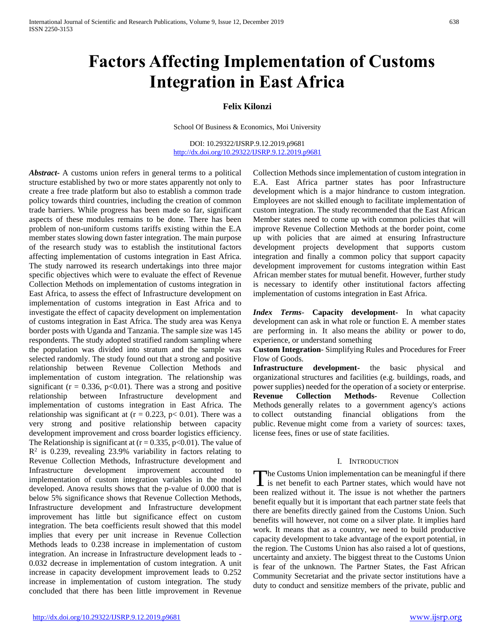# **Factors Affecting Implementation of Customs Integration in East Africa**

## **Felix Kilonzi**

School Of Business & Economics, Moi University

DOI: 10.29322/IJSRP.9.12.2019.p9681 <http://dx.doi.org/10.29322/IJSRP.9.12.2019.p9681>

*Abstract***-** A customs union refers in general terms to a political structure established by two or more states apparently not only to create a free trade platform but also to establish a common trade policy towards third countries, including the creation of common trade barriers. While progress has been made so far, significant aspects of these modules remains to be done. There has been problem of non-uniform customs tariffs existing within the E.A member states slowing down faster integration. The main purpose of the research study was to establish the institutional factors affecting implementation of customs integration in East Africa. The study narrowed its research undertakings into three major specific objectives which were to evaluate the effect of Revenue Collection Methods on implementation of customs integration in East Africa, to assess the effect of Infrastructure development on implementation of customs integration in East Africa and to investigate the effect of capacity development on implementation of customs integration in East Africa. The study area was Kenya border posts with Uganda and Tanzania. The sample size was 145 respondents. The study adopted stratified random sampling where the population was divided into stratum and the sample was selected randomly. The study found out that a strong and positive relationship between Revenue Collection Methods and implementation of custom integration. The relationship was significant ( $r = 0.336$ ,  $p < 0.01$ ). There was a strong and positive relationship between Infrastructure development and implementation of customs integration in East Africa. The relationship was significant at  $(r = 0.223, p < 0.01)$ . There was a very strong and positive relationship between capacity development improvement and cross boarder logistics efficiency. The Relationship is significant at  $(r = 0.335, p < 0.01)$ . The value of  $\mathbb{R}^2$  is 0.239, revealing 23.9% variability in factors relating to Revenue Collection Methods, Infrastructure development and Infrastructure development improvement accounted to implementation of custom integration variables in the model developed. Anova results shows that the p-value of 0.000 that is below 5% significance shows that Revenue Collection Methods, Infrastructure development and Infrastructure development improvement has little but significance effect on custom integration. The beta coefficients result showed that this model implies that every per unit increase in Revenue Collection Methods leads to 0.238 increase in implementation of custom integration. An increase in Infrastructure development leads to - 0.032 decrease in implementation of custom integration. A unit increase in capacity development improvement leads to 0.252 increase in implementation of custom integration. The study concluded that there has been little improvement in Revenue

Collection Methods since implementation of custom integration in E.A. East Africa partner states has poor Infrastructure development which is a major hindrance to custom integration. Employees are not skilled enough to facilitate implementation of custom integration. The study recommended that the East African Member states need to come up with common policies that will improve Revenue Collection Methods at the border point, come up with policies that are aimed at ensuring Infrastructure development projects development that supports custom integration and finally a common policy that support capacity development improvement for customs integration within East African member states for mutual benefit. However, further study is necessary to identify other institutional factors affecting implementation of customs integration in East Africa.

*Index Terms*- **Capacity development-** In what capacity development can ask in what role or function E. A member states are performing in. It also means the ability or power to do, experience, or understand something

**Custom Integration**- Simplifying Rules and Procedures for Freer Flow of Goods.

**Infrastructure development-** the basic physical and organizational structures and facilities (e.g. buildings, roads, and power supplies) needed for the operation of a society or enterprise. **Revenue Collection Methods-** Revenue Collection Methods generally relates to a government agency's actions to collect outstanding financial obligations from the public. Revenue might come from a variety of sources: taxes, license fees, fines or use of state facilities.

#### I. INTRODUCTION

he Customs Union implementation can be meaningful if there The Customs Union implementation can be meaningful if there is net benefit to each Partner states, which would have not been realized without it. The issue is not whether the partners benefit equally but it is important that each partner state feels that there are benefits directly gained from the Customs Union. Such benefits will however, not come on a silver plate. It implies hard work. It means that as a country, we need to build productive capacity development to take advantage of the export potential, in the region. The Customs Union has also raised a lot of questions, uncertainty and anxiety. The biggest threat to the Customs Union is fear of the unknown. The Partner States, the Fast African Community Secretariat and the private sector institutions have a duty to conduct and sensitize members of the private, public and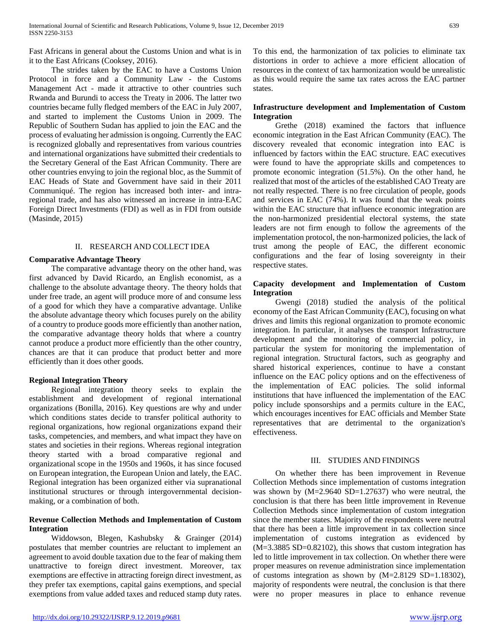Fast Africans in general about the Customs Union and what is in it to the East Africans (Cooksey, 2016).

 The strides taken by the EAC to have a Customs Union Protocol in force and a Community Law - the Customs Management Act - made it attractive to other countries such Rwanda and Burundi to access the Treaty in 2006. The latter two countries became fully fledged members of the EAC in July 2007, and started to implement the Customs Union in 2009. The Republic of Southern Sudan has applied to join the EAC and the process of evaluating her admission is ongoing. Currently the EAC is recognized globally and representatives from various countries and international organizations have submitted their credentials to the Secretary General of the East African Community. There are other countries envying to join the regional bloc, as the Summit of EAC Heads of State and Government have said in their 2011 Communiqué. The region has increased both inter- and intraregional trade, and has also witnessed an increase in intra-EAC Foreign Direct Investments (FDI) as well as in FDI from outside (Masinde, 2015)

#### II. RESEARCH AND COLLECT IDEA

#### **Comparative Advantage Theory**

 The comparative advantage theory on the other hand, was first advanced by David Ricardo, an English economist, as a challenge to the absolute advantage theory. The theory holds that under free trade, an agent will produce more of and consume less of a good for which they have a comparative advantage. Unlike the absolute advantage theory which focuses purely on the ability of a country to produce goods more efficiently than another nation, the comparative advantage theory holds that where a country cannot produce a product more efficiently than the other country, chances are that it can produce that product better and more efficiently than it does other goods.

### **Regional Integration Theory**

 Regional integration theory seeks to explain the establishment and development of regional international organizations (Bonilla, 2016). Key questions are why and under which conditions states decide to transfer political authority to regional organizations, how regional organizations expand their tasks, competencies, and members, and what impact they have on states and societies in their regions. Whereas regional integration theory started with a broad comparative regional and organizational scope in the 1950s and 1960s, it has since focused on European integration, the European Union and lately, the EAC. Regional integration has been organized either via supranational institutional structures or through intergovernmental decisionmaking, or a combination of both.

## **Revenue Collection Methods and Implementation of Custom Integration**

 Widdowson, Blegen, Kashubsky & Grainger (2014) postulates that member countries are reluctant to implement an agreement to avoid double taxation due to the fear of making them unattractive to foreign direct investment. Moreover, tax exemptions are effective in attracting foreign direct investment, as they prefer tax exemptions, capital gains exemptions, and special exemptions from value added taxes and reduced stamp duty rates. To this end, the harmonization of tax policies to eliminate tax distortions in order to achieve a more efficient allocation of resources in the context of tax harmonization would be unrealistic as this would require the same tax rates across the EAC partner states.

## **Infrastructure development and Implementation of Custom Integration**

 Grethe (2018) examined the factors that influence economic integration in the East African Community (EAC). The discovery revealed that economic integration into EAC is influenced by factors within the EAC structure. EAC executives were found to have the appropriate skills and competences to promote economic integration (51.5%). On the other hand, he realized that most of the articles of the established CAO Treaty are not really respected. There is no free circulation of people, goods and services in EAC (74%). It was found that the weak points within the EAC structure that influence economic integration are the non-harmonized presidential electoral systems, the state leaders are not firm enough to follow the agreements of the implementation protocol, the non-harmonized policies, the lack of trust among the people of EAC, the different economic configurations and the fear of losing sovereignty in their respective states.

## **Capacity development and Implementation of Custom Integration**

 Gwengi (2018) studied the analysis of the political economy of the East African Community (EAC), focusing on what drives and limits this regional organization to promote economic integration. In particular, it analyses the transport Infrastructure development and the monitoring of commercial policy, in particular the system for monitoring the implementation of regional integration. Structural factors, such as geography and shared historical experiences, continue to have a constant influence on the EAC policy options and on the effectiveness of the implementation of EAC policies. The solid informal institutions that have influenced the implementation of the EAC policy include sponsorships and a permits culture in the EAC, which encourages incentives for EAC officials and Member State representatives that are detrimental to the organization's effectiveness.

#### III. STUDIES AND FINDINGS

 On whether there has been improvement in Revenue Collection Methods since implementation of customs integration was shown by (M=2.9640 SD=1.27637) who were neutral, the conclusion is that there has been little improvement in Revenue Collection Methods since implementation of custom integration since the member states. Majority of the respondents were neutral that there has been a little improvement in tax collection since implementation of customs integration as evidenced by (M=3.3885 SD=0.82102), this shows that custom integration has led to little improvement in tax collection. On whether there were proper measures on revenue administration since implementation of customs integration as shown by (M=2.8129 SD=1.18302), majority of respondents were neutral, the conclusion is that there were no proper measures in place to enhance revenue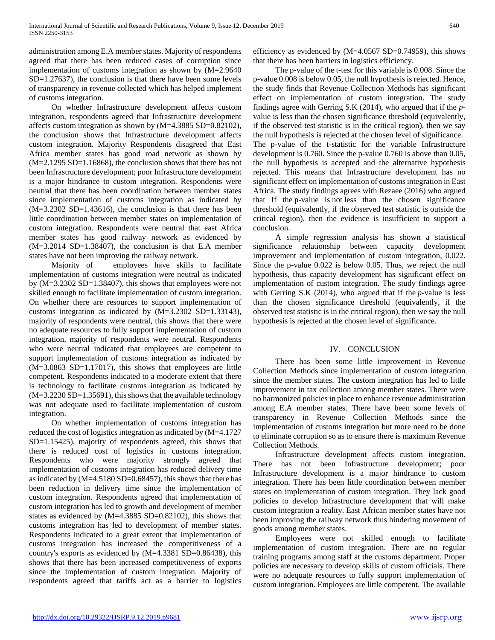administration among E.A member states. Majority of respondents agreed that there has been reduced cases of corruption since implementation of customs integration as shown by (M=2.9640 SD=1.27637), the conclusion is that there have been some levels of transparency in revenue collected which has helped implement of customs integration.

 On whether Infrastructure development affects custom integration, respondents agreed that Infrastructure development affects custom integration as shown by (M=4.3885 SD=0.82102), the conclusion shows that Infrastructure development affects custom integration. Majority Respondents disagreed that East Africa member states has good road network as shown by (M=2.1295 SD=1.16868), the conclusion shows that there has not been Infrastructure development; poor Infrastructure development is a major hindrance to custom integration. Respondents were neutral that there has been coordination between member states since implementation of customs integration as indicated by (M=3.2302 SD=1.43616), the conclusion is that there has been little coordination between member states on implementation of custom integration. Respondents were neutral that east Africa member states has good railway network as evidenced by  $(M=3.2014 \text{ SD}=1.38407)$ , the conclusion is that E.A member states have not been improving the railway network.

 Majority of employees have skills to facilitate implementation of customs integration were neutral as indicated by (M=3.2302 SD=1.38407), this shows that employees were not skilled enough to facilitate implementation of custom integration. On whether there are resources to support implementation of customs integration as indicated by (M=3.2302 SD=1.33143), majority of respondents were neutral, this shows that there were no adequate resources to fully support implementation of custom integration, majority of respondents were neutral. Respondents who were neutral indicated that employees are competent to support implementation of customs integration as indicated by (M=3.0863 SD=1.17017), this shows that employees are little competent. Respondents indicated to a moderate extent that there is technology to facilitate customs integration as indicated by (M=3.2230 SD=1.35691), this shows that the available technology was not adequate used to facilitate implementation of custom integration.

 On whether implementation of customs integration has reduced the cost of logistics integration as indicated by (M=4.1727 SD=1.15425), majority of respondents agreed, this shows that there is reduced cost of logistics in customs integration. Respondents who were majority strongly agreed that implementation of customs integration has reduced delivery time as indicated by (M=4.5180 SD=0.68457), this shows that there has been reduction in delivery time since the implementation of custom integration. Respondents agreed that implementation of custom integration has led to growth and development of member states as evidenced by (M=4.3885 SD=0.82102), this shows that customs integration has led to development of member states. Respondents indicated to a great extent that implementation of customs integration has increased the competitiveness of a country's exports as evidenced by (M=4.3381 SD=0.86438), this shows that there has been increased competitiveness of exports since the implementation of custom integration. Majority of respondents agreed that tariffs act as a barrier to logistics efficiency as evidenced by  $(M=4.0567$  SD=0.74959), this shows that there has been barriers in logistics efficiency.

 The p-value of the t-test for this variable is 0.008. Since the p-value 0.008 is below 0.05, the null hypothesis is rejected. Hence, the study finds that Revenue Collection Methods has significant effect on implementation of custom integration. The study findings agree with Gerring S.K (2014), who argued that if the *p*value is less than the chosen significance threshold (equivalently, if the observed test statistic is in the critical region), then we say the null hypothesis is rejected at the chosen level of significance. The p-value of the t-statistic for the variable Infrastructure development is 0.760. Since the p-value 0.760 is above than 0.05, the null hypothesis is accepted and the alternative hypothesis rejected. This means that Infrastructure development has no significant effect on implementation of customs integration in East Africa. The study findings agrees with Rezaee (2016) who argued that If the p-value is not less than the chosen significance threshold (equivalently, if the observed test statistic is outside the critical region), then the evidence is insufficient to support a conclusion.

 A simple regression analysis has shown a statistical significance relationship between capacity development improvement and implementation of custom integration, 0.022. Since the p-value 0.022 is below 0.05. Thus, we reject the null hypothesis, thus capacity development has significant effect on implementation of custom integration. The study findings agree with Gerring S.K (2014), who argued that if the *p*-value is less than the chosen significance threshold (equivalently, if the observed test statistic is in the critical region), then we say the null hypothesis is rejected at the chosen level of significance.

### IV. CONCLUSION

 There has been some little improvement in Revenue Collection Methods since implementation of custom integration since the member states. The custom integration has led to little improvement in tax collection among member states. There were no harmonized policies in place to enhance revenue administration among E.A member states. There have been some levels of transparency in Revenue Collection Methods since the implementation of customs integration but more need to be done to eliminate corruption so as to ensure there is maximum Revenue Collection Methods.

 Infrastructure development affects custom integration. There has not been Infrastructure development; poor Infrastructure development is a major hindrance to custom integration. There has been little coordination between member states on implementation of custom integration. They lack good policies to develop Infrastructure development that will make custom integration a reality. East African member states have not been improving the railway network thus hindering movement of goods among member states.

 Employees were not skilled enough to facilitate implementation of custom integration. There are no regular training programs among staff at the customs department. Proper policies are necessary to develop skills of custom officials. There were no adequate resources to fully support implementation of custom integration. Employees are little competent. The available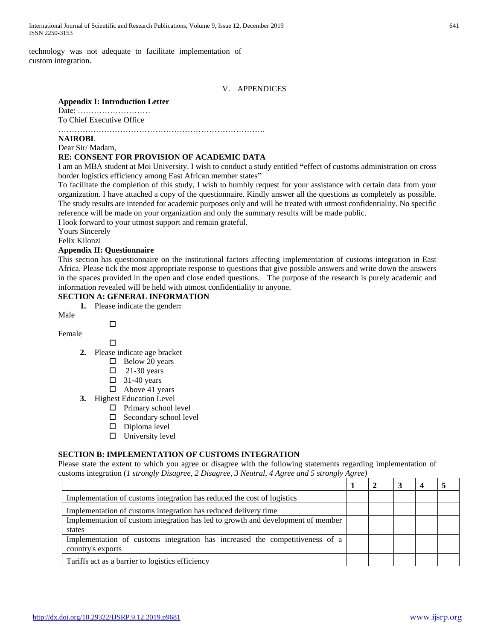## V. APPENDICES

#### **Appendix I: Introduction Letter**

Date: ……………………… To Chief Executive Office

…………………………………………………………………..

#### **NAIROBI**.

Dear Sir/ Madam,

#### **RE: CONSENT FOR PROVISION OF ACADEMIC DATA**

I am an MBA student at Moi University. I wish to conduct a study entitled **"**effect of customs administration on cross border logistics efficiency among East African member states**"**

To facilitate the completion of this study, I wish to humbly request for your assistance with certain data from your organization. I have attached a copy of the questionnaire. Kindly answer all the questions as completely as possible. The study results are intended for academic purposes only and will be treated with utmost confidentiality. No specific reference will be made on your organization and only the summary results will be made public.

I look forward to your utmost support and remain grateful.

Yours Sincerely

Felix Kilonzi

## **Appendix II: Questionnaire**

This section has questionnaire on the institutional factors affecting implementation of customs integration in East Africa. Please tick the most appropriate response to questions that give possible answers and write down the answers in the spaces provided in the open and close ended questions. The purpose of the research is purely academic and information revealed will be held with utmost confidentiality to anyone.

## **SECTION A: GENERAL INFORMATION**

**1.** Please indicate the gender**:** 

Male

Female

 $\Box$ 

 $\Box$ 

- **2.** Please indicate age bracket
	- $\Box$  Below 20 years
	- $\Box$  21-30 years
	- $\Box$  31-40 years
	- $\Box$  Above 41 years
- **3.** Highest Education Level
	- $\Box$  Primary school level
	- $\square$  Secondary school level
	- $\square$  Diploma level
	- $\square$  University level

### **SECTION B: IMPLEMENTATION OF CUSTOMS INTEGRATION**

Please state the extent to which you agree or disagree with the following statements regarding implementation of customs integration (*1 strongly Disagree, 2 Disagree, 3 Neutral, 4 Agree and 5 strongly Agree)*

| Implementation of customs integration has reduced the cost of logistics                           |  |  |  |
|---------------------------------------------------------------------------------------------------|--|--|--|
| Implementation of customs integration has reduced delivery time                                   |  |  |  |
| Implementation of custom integration has led to growth and development of member                  |  |  |  |
| states                                                                                            |  |  |  |
| Implementation of customs integration has increased the competitiveness of a<br>country's exports |  |  |  |
| Tariffs act as a barrier to logistics efficiency                                                  |  |  |  |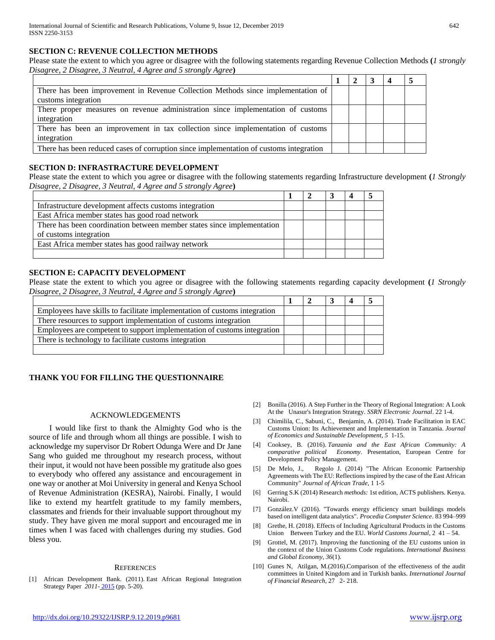## **SECTION C: REVENUE COLLECTION METHODS**

Please state the extent to which you agree or disagree with the following statements regarding Revenue Collection Methods **(***1 strongly Disagree, 2 Disagree, 3 Neutral, 4 Agree and 5 strongly Agree***)**

| There has been improvement in Revenue Collection Methods since implementation of       |  |  |  |
|----------------------------------------------------------------------------------------|--|--|--|
| customs integration                                                                    |  |  |  |
| There proper measures on revenue administration since implementation of customs        |  |  |  |
| integration                                                                            |  |  |  |
| There has been an improvement in tax collection since implementation of customs        |  |  |  |
| integration                                                                            |  |  |  |
| There has been reduced cases of corruption since implementation of customs integration |  |  |  |

## **SECTION D: INFRASTRACTURE DEVELOPMENT**

Please state the extent to which you agree or disagree with the following statements regarding Infrastructure development **(***1 Strongly Disagree, 2 Disagree, 3 Neutral, 4 Agree and 5 strongly Agree***)**

| Infrastructure development affects customs integration                 |  |  |  |
|------------------------------------------------------------------------|--|--|--|
| East Africa member states has good road network                        |  |  |  |
| There has been coordination between member states since implementation |  |  |  |
| of customs integration                                                 |  |  |  |
| East Africa member states has good railway network                     |  |  |  |
|                                                                        |  |  |  |

## **SECTION E: CAPACITY DEVELOPMENT**

Please state the extent to which you agree or disagree with the following statements regarding capacity development **(***1 Strongly Disagree, 2 Disagree, 3 Neutral, 4 Agree and 5 strongly Agree***)**

| Employees have skills to facilitate implementation of customs integration |  |  |  |
|---------------------------------------------------------------------------|--|--|--|
| There resources to support implementation of customs integration          |  |  |  |
| Employees are competent to support implementation of customs integration  |  |  |  |
| There is technology to facilitate customs integration                     |  |  |  |
|                                                                           |  |  |  |

## **THANK YOU FOR FILLING THE QUESTIONNAIRE**

### ACKNOWLEDGEMENTS

 I would like first to thank the Almighty God who is the source of life and through whom all things are possible. I wish to acknowledge my supervisor Dr Robert Odunga Were and Dr Jane Sang who guided me throughout my research process, without their input, it would not have been possible my gratitude also goes to everybody who offered any assistance and encouragement in one way or another at Moi University in general and Kenya School of Revenue Administration (KESRA), Nairobi. Finally, I would like to extend my heartfelt gratitude to my family members, classmates and friends for their invaluable support throughout my study. They have given me moral support and encouraged me in times when I was faced with challenges during my studies. God bless you.

#### **REFERENCES**

[1] African Development Bank. (2011). East African Regional Integration Strategy Paper *2011-* 2015 (pp. 5-20).

- [2] Bonilla (2016). A Step Further in the Theory of Regional Integration: A Look At the Unasur's Integration Strategy. *SSRN Electronic Journal*. 22 1-4.
- [3] Chimilila, C., Sabuni, C., Benjamin, A. (2014). Trade Facilitation in EAC Customs Union: Its Achievement and Implementation in Tanzania. *Journal of Economics and Sustainable Development*, *5* 1-15.
- [4] Cooksey, B. (2016). *Tanzania and the East African Community: A comparative political Economy*. Presentation, European Centre for Development Policy Management.
- [5] De Melo, J., Regolo J. (2014) "The African Economic Partnership Agreements with The EU: Reflections inspired by the case of the East African Community" *Journal of African Trade*, 1 1-5
- [6] Gerring S.K (2014) Research *methods:* 1st edition, ACTS publishers. Kenya. Nairobi.
- [7] González.V (2016). "Towards energy efficiency smart buildings models based on intelligent data analytics". *Procedia Computer Science*. 83 994–999
- [8] Grethe, H. (2018). Effects of Including Agricultural Products in the Customs Union Between Turkey and the EU. *World Customs Journal*, 2 41 – 54.
- [9] Grottel, M. (2017). Improving the functioning of the EU customs union in the context of the Union Customs Code regulations. *International Business and Global Economy*, *36*(1).
- [10] Gunes N, Atilgan, M.(2016).Comparison of the effectiveness of the audit committees in United Kingdom and in Turkish banks. *International Journal of Financial Research*, 27 2- 218.